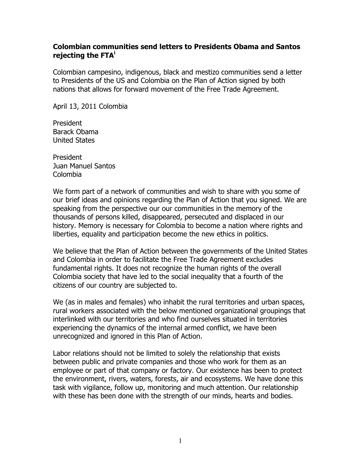## Colombian communities send letters to Presidents Obama and Santos rejecting the FTA<sup>i</sup>

Colombian campesino, indigenous, black and mestizo communities send a letter to Presidents of the US and Colombia on the Plan of Action signed by both nations that allows for forward movement of the Free Trade Agreement.

April 13, 2011 Colombia

President Barack Obama United States

President Juan Manuel Santos Colombia

We form part of a network of communities and wish to share with you some of our brief ideas and opinions regarding the Plan of Action that you signed. We are speaking from the perspective our our communities in the memory of the thousands of persons killed, disappeared, persecuted and displaced in our history. Memory is necessary for Colombia to become a nation where rights and liberties, equality and participation become the new ethics in politics.

We believe that the Plan of Action between the governments of the United States and Colombia in order to facilitate the Free Trade Agreement excludes fundamental rights. It does not recognize the human rights of the overall Colombia society that have led to the social inequality that a fourth of the citizens of our country are subjected to.

We (as in males and females) who inhabit the rural territories and urban spaces, rural workers associated with the below mentioned organizational groupings that interlinked with our territories and who find ourselves situated in territories experiencing the dynamics of the internal armed conflict, we have been unrecognized and ignored in this Plan of Action.

Labor relations should not be limited to solely the relationship that exists between public and private companies and those who work for them as an employee or part of that company or factory. Our existence has been to protect the environment, rivers, waters, forests, air and ecosystems. We have done this task with vigilance, follow up, monitoring and much attention. Our relationship with these has been done with the strength of our minds, hearts and bodies.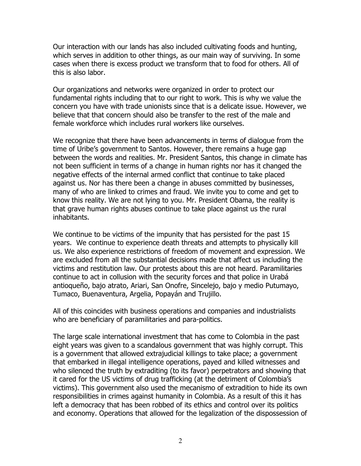Our interaction with our lands has also included cultivating foods and hunting, which serves in addition to other things, as our main way of surviving. In some cases when there is excess product we transform that to food for others. All of this is also labor.

Our organizations and networks were organized in order to protect our fundamental rights including that to our right to work. This is why we value the concern you have with trade unionists since that is a delicate issue. However, we believe that that concern should also be transfer to the rest of the male and female workforce which includes rural workers like ourselves.

We recognize that there have been advancements in terms of dialogue from the time of Uribe's government to Santos. However, there remains a huge gap between the words and realities. Mr. President Santos, this change in climate has not been sufficient in terms of a change in human rights nor has it changed the negative effects of the internal armed conflict that continue to take placed against us. Nor has there been a change in abuses committed by businesses, many of who are linked to crimes and fraud. We invite you to come and get to know this reality. We are not lying to you. Mr. President Obama, the reality is that grave human rights abuses continue to take place against us the rural inhabitants.

We continue to be victims of the impunity that has persisted for the past 15 years. We continue to experience death threats and attempts to physically kill us. We also experience restrictions of freedom of movement and expression. We are excluded from all the substantial decisions made that affect us including the victims and restitution law. Our protests about this are not heard. Paramilitaries continue to act in collusion with the security forces and that police in Urabá antioqueño, bajo atrato, Ariari, San Onofre, Sincelejo, bajo y medio Putumayo, Tumaco, Buenaventura, Argelia, Popayán and Trujillo.

All of this coincides with business operations and companies and industrialists who are beneficiary of paramilitaries and para-politics.

The large scale international investment that has come to Colombia in the past eight years was given to a scandalous government that was highly corrupt. This is a government that allowed extrajudicial killings to take place; a government that embarked in illegal intelligence operations, payed and killed witnesses and who silenced the truth by extraditing (to its favor) perpetrators and showing that it cared for the US victims of drug trafficking (at the detriment of Colombia's victims). This government also used the mecanismo of extradition to hide its own responsibilities in crimes against humanity in Colombia. As a result of this it has left a democracy that has been robbed of its ethics and control over its politics and economy. Operations that allowed for the legalization of the dispossession of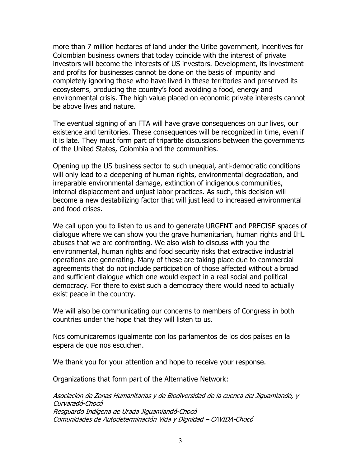more than 7 million hectares of land under the Uribe government, incentives for Colombian business owners that today coincide with the interest of private investors will become the interests of US investors. Development, its investment and profits for businesses cannot be done on the basis of impunity and completely ignoring those who have lived in these territories and preserved its ecosystems, producing the country's food avoiding a food, energy and environmental crisis. The high value placed on economic private interests cannot be above lives and nature.

The eventual signing of an FTA will have grave consequences on our lives, our existence and territories. These consequences will be recognized in time, even if it is late. They must form part of tripartite discussions between the governments of the United States, Colombia and the communities.

Opening up the US business sector to such unequal, anti-democratic conditions will only lead to a deepening of human rights, environmental degradation, and irreparable environmental damage, extinction of indigenous communities, internal displacement and unjust labor practices. As such, this decision will become a new destabilizing factor that will just lead to increased environmental and food crises.

We call upon you to listen to us and to generate URGENT and PRECISE spaces of dialogue where we can show you the grave humanitarian, human rights and IHL abuses that we are confronting. We also wish to discuss with you the environmental, human rights and food security risks that extractive industrial operations are generating. Many of these are taking place due to commercial agreements that do not include participation of those affected without a broad and sufficient dialogue which one would expect in a real social and political democracy. For there to exist such a democracy there would need to actually exist peace in the country.

We will also be communicating our concerns to members of Congress in both countries under the hope that they will listen to us.

Nos comunicaremos igualmente con los parlamentos de los dos países en la espera de que nos escuchen.

We thank you for your attention and hope to receive your response.

Organizations that form part of the Alternative Network:

Asociación de Zonas Humanitarias y de Biodiversidad de la cuenca del Jiguamiandó, y Curvaradó-Chocó Resguardo Indígena de Urada Jiguamiandó-Chocó Comunidades de Autodeterminación Vida y Dignidad – CAVIDA-Chocó